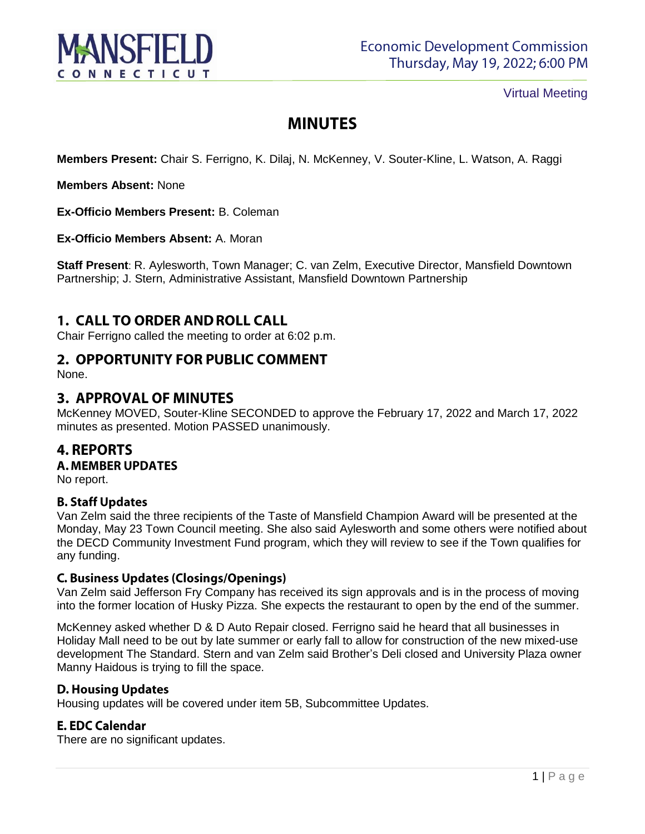

Virtual Meeting

# **MINUTES**

**Members Present:** Chair S. Ferrigno, K. Dilaj, N. McKenney, V. Souter-Kline, L. Watson, A. Raggi

**Members Absent:** None

**Ex-Officio Members Present:** B. Coleman

**Ex-Officio Members Absent:** A. Moran

**Staff Present**: R. Aylesworth, Town Manager; C. van Zelm, Executive Director, Mansfield Downtown Partnership; J. Stern, Administrative Assistant, Mansfield Downtown Partnership

# **1. CALL TO ORDER AND ROLL CALL**

Chair Ferrigno called the meeting to order at 6:02 p.m.

# 2. OPPORTUNITY FOR PUBLIC COMMENT

None.

# **3. APPROVAL OF MINUTES**

McKenney MOVED, Souter-Kline SECONDED to approve the February 17, 2022 and March 17, 2022 minutes as presented. Motion PASSED unanimously.

# **4. REPORTS**

**A. MEMBER UPDATES** 

No report.

#### **B. Staff Updates**

Van Zelm said the three recipients of the Taste of Mansfield Champion Award will be presented at the Monday, May 23 Town Council meeting. She also said Aylesworth and some others were notified about the DECD Community Investment Fund program, which they will review to see if the Town qualifies for any funding.

#### **C. Business Updates (Closings/Openings)**

Van Zelm said Jefferson Fry Company has received its sign approvals and is in the process of moving into the former location of Husky Pizza. She expects the restaurant to open by the end of the summer.

McKenney asked whether D & D Auto Repair closed. Ferrigno said he heard that all businesses in Holiday Mall need to be out by late summer or early fall to allow for construction of the new mixed-use development The Standard. Stern and van Zelm said Brother's Deli closed and University Plaza owner Manny Haidous is trying to fill the space.

# **D. Housing Updates**

Housing updates will be covered under item 5B, Subcommittee Updates.

# **E. EDC Calendar**

There are no significant updates.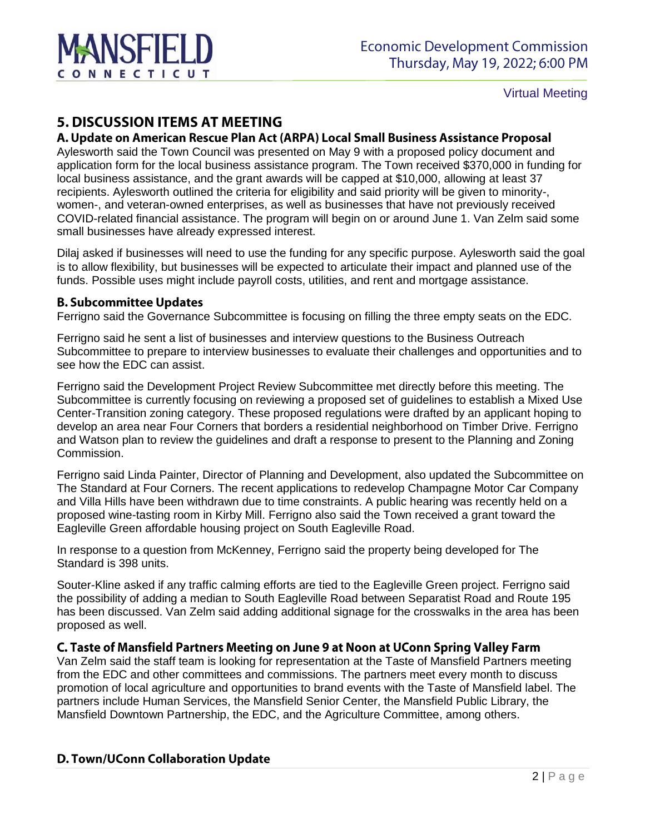

Virtual Meeting

# **5. DISCUSSION ITEMS AT MEETING**

#### A. Update on American Rescue Plan Act (ARPA) Local Small Business Assistance Proposal

Aylesworth said the Town Council was presented on May 9 with a proposed policy document and application form for the local business assistance program. The Town received \$370,000 in funding for local business assistance, and the grant awards will be capped at \$10,000, allowing at least 37 recipients. Aylesworth outlined the criteria for eligibility and said priority will be given to minority-, women-, and veteran-owned enterprises, as well as businesses that have not previously received COVID-related financial assistance. The program will begin on or around June 1. Van Zelm said some small businesses have already expressed interest.

Dilaj asked if businesses will need to use the funding for any specific purpose. Aylesworth said the goal is to allow flexibility, but businesses will be expected to articulate their impact and planned use of the funds. Possible uses might include payroll costs, utilities, and rent and mortgage assistance.

#### **B. Subcommittee Updates**

Ferrigno said the Governance Subcommittee is focusing on filling the three empty seats on the EDC.

Ferrigno said he sent a list of businesses and interview questions to the Business Outreach Subcommittee to prepare to interview businesses to evaluate their challenges and opportunities and to see how the EDC can assist.

Ferrigno said the Development Project Review Subcommittee met directly before this meeting. The Subcommittee is currently focusing on reviewing a proposed set of guidelines to establish a Mixed Use Center-Transition zoning category. These proposed regulations were drafted by an applicant hoping to develop an area near Four Corners that borders a residential neighborhood on Timber Drive. Ferrigno and Watson plan to review the guidelines and draft a response to present to the Planning and Zoning Commission.

Ferrigno said Linda Painter, Director of Planning and Development, also updated the Subcommittee on The Standard at Four Corners. The recent applications to redevelop Champagne Motor Car Company and Villa Hills have been withdrawn due to time constraints. A public hearing was recently held on a proposed wine-tasting room in Kirby Mill. Ferrigno also said the Town received a grant toward the Eagleville Green affordable housing project on South Eagleville Road.

In response to a question from McKenney, Ferrigno said the property being developed for The Standard is 398 units.

Souter-Kline asked if any traffic calming efforts are tied to the Eagleville Green project. Ferrigno said the possibility of adding a median to South Eagleville Road between Separatist Road and Route 195 has been discussed. Van Zelm said adding additional signage for the crosswalks in the area has been proposed as well.

#### C. Taste of Mansfield Partners Meeting on June 9 at Noon at UConn Spring Valley Farm

Van Zelm said the staff team is looking for representation at the Taste of Mansfield Partners meeting from the EDC and other committees and commissions. The partners meet every month to discuss promotion of local agriculture and opportunities to brand events with the Taste of Mansfield label. The partners include Human Services, the Mansfield Senior Center, the Mansfield Public Library, the Mansfield Downtown Partnership, the EDC, and the Agriculture Committee, among others.

#### D. Town/UConn Collaboration Update